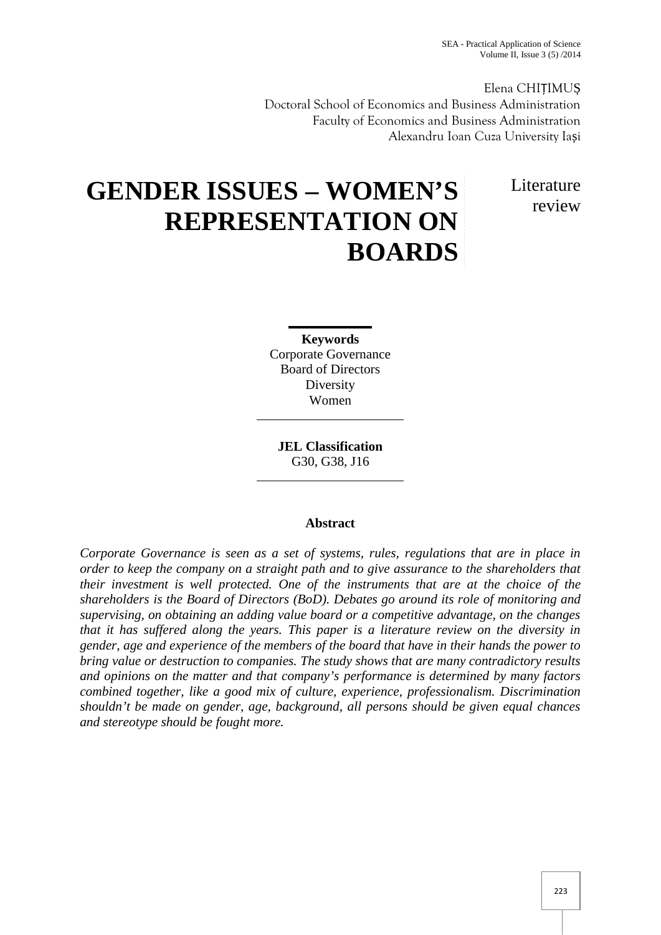SEA - Practical Application of Science Volume II, Issue 3 (5) /2014

Elena CHIȚIMU Doctoral School of Economics and Business Administration Faculty of Economics and Business Administration Alexandru Ioan Cuza University Ia i

> Literature review

# **GENDER ISSUES – WOMEN'S REPRESENTATION ON BOARDS**

**Keywords** Corporate Governance Board of Directors Diversity Women

**JEL Classification** G30, G38, J16

### **Abstract**

*Corporate Governance is seen as a set of systems, rules, regulations that are in place in order to keep the company on a straight path and to give assurance to the shareholders that their investment is well protected. One of the instruments that are at the choice of the shareholders is the Board of Directors (BoD). Debates go around its role of monitoring and supervising, on obtaining an adding value board or a competitive advantage, on the changes that it has suffered along the years. This paper is a literature review on the diversity in gender, age and experience of the members of the board that have in their hands the power to bring value or destruction to companies. The study shows that are many contradictory results and opinions on the matter and that company's performance is determined by many factors combined together, like a good mix of culture, experience, professionalism. Discrimination shouldn't be made on gender, age, background, all persons should be given equal chances and stereotype should be fought more.*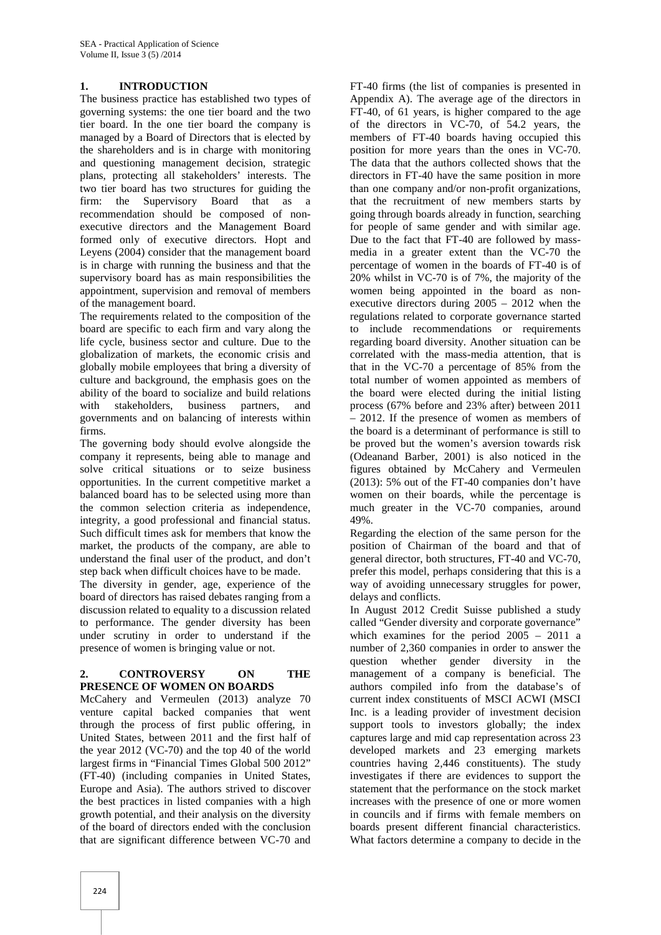#### **1. INTRODUCTION**

The business practice has established two types of governing systems: the one tier board and the two tier board. In the one tier board the company is managed by a Board of Directors that is elected by the shareholders and is in charge with monitoring and questioning management decision, strategic plans, protecting all stakeholders' interests. The two tier board has two structures for guiding the firm: the Supervisory Board that as a recommendation should be composed of non executive directors and the Management Board formed only of executive directors. Hopt and Leyens (2004) consider that the management board is in charge with running the business and that the supervisory board has as main responsibilities the appointment, supervision and removal of members of the management board.

The requirements related to the composition of the board are specific to each firm and vary along the life cycle, business sector and culture. Due to the globalization of markets, the economic crisis and globally mobile employees that bring a diversity of culture and background, the emphasis goes on the ability of the board to socialize and build relations<br>with stakeholders, business partners, and with stakeholders, business partners, and governments and on balancing of interests within firms.

The governing body should evolve alongside the company it represents, being able to manage and solve critical situations or to seize business opportunities. In the current competitive market a balanced board has to be selected using more than the common selection criteria as independence, integrity, a good professional and financial status. Such difficult times ask for members that know the market, the products of the company, are able to understand the final user of the product, and don't step back when difficult choices have to be made.

The diversity in gender, age, experience of the board of directors has raised debates ranging from a discussion related to equality to a discussion related to performance. The gender diversity has been under scrutiny in order to understand if the presence of women is bringing value or not.

#### **2. CONTROVERSY ON THE PRESENCE OF WOMEN ON BOARDS**

McCahery and Vermeulen (2013) analyze 70 venture capital backed companies that went through the process of first public offering, in United States, between 2011 and the first half of the year 2012 (VC-70) and the top 40 of the world largest firms in "Financial Times Global 500 2012" (FT-40) (including companies in United States, Europe and Asia). The authors strived to discover the best practices in listed companies with a high growth potential, and their analysis on the diversity of the board of directors ended with the conclusion that are significant difference between VC-70 and

FT-40 firms (the list of companies is presented in Appendix A). The average age of the directors in FT-40, of 61 years, is higher compared to the age of the directors in VC-70, of 54.2 years, the members of FT-40 boards having occupied this position for more years than the ones in VC-70. The data that the authors collected shows that the directors in FT-40 have the same position in more than one company and/or non-profit organizations, that the recruitment of new members starts by going through boards already in function, searching for people of same gender and with similar age. Due to the fact that FT-40 are followed by mass media in a greater extent than the VC-70 the percentage of women in the boards of FT-40 is of 20% whilst in VC-70 is of 7%, the majority of the women being appointed in the board as non executive directors during 2005 – 2012 when the regulations related to corporate governance started to include recommendations or requirements regarding board diversity. Another situation can be correlated with the mass-media attention, that is that in the VC-70 a percentage of 85% from the total number of women appointed as members of the board were elected during the initial listing process (67% before and 23% after) between 2011 – 2012. If the presence of women as members of the board is a determinant of performance is still to be proved but the women's aversion towards risk (Odeanand Barber, 2001) is also noticed in the figures obtained by McCahery and Vermeulen (2013): 5% out of the FT-40 companies don't have women on their boards, while the percentage is much greater in the VC-70 companies, around 49%.

Regarding the election of the same person for the position of Chairman of the board and that of general director, both structures, FT-40 and VC-70, prefer this model, perhaps considering that this is a way of avoiding unnecessary struggles for power, delays and conflicts.

In August 2012 Credit Suisse published a study called "Gender diversity and corporate governance" which examines for the period 2005 – 2011 a number of 2,360 companies in order to answer the question whether gender diversity in the management of a company is beneficial. The authors compiled info from the database's of current index constituents of MSCI ACWI (MSCI Inc. is a leading provider of investment decision support tools to investors globally; the index captures large and mid cap representation across 23 developed markets and 23 emerging markets countries having 2,446 constituents). The study investigates if there are evidences to support the statement that the performance on the stock market increases with the presence of one or more women in councils and if firms with female members on boards present different financial characteristics. What factors determine a company to decide in the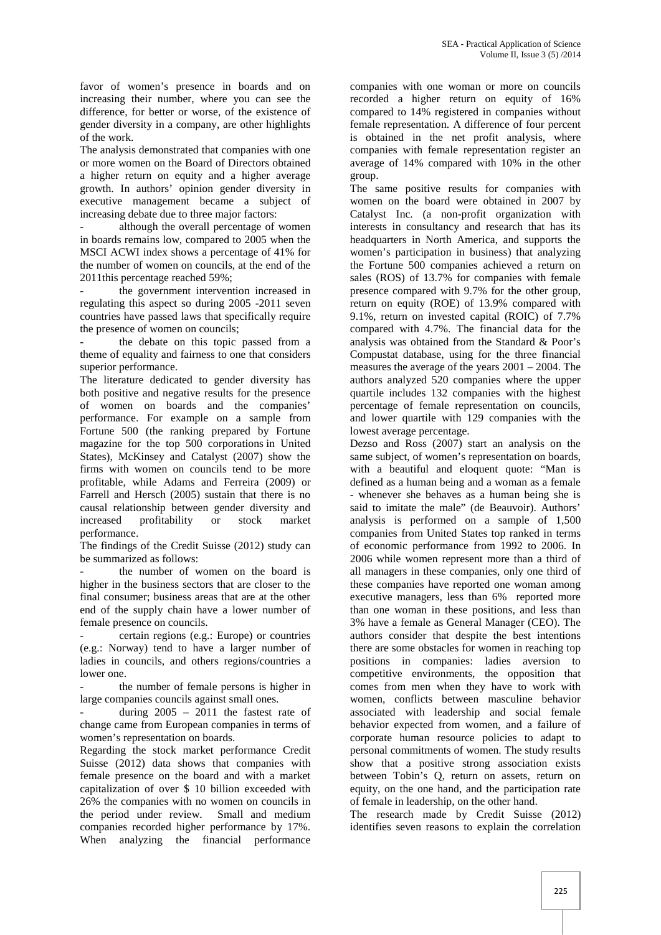favor of women's presence in boards and on increasing their number, where you can see the difference, for better or worse, of the existence of gender diversity in a company, are other highlights of the work.

The analysis demonstrated that companies with one or more women on the Board of Directors obtained a higher return on equity and a higher average growth. In authors' opinion gender diversity in executive management became a subject of increasing debate due to three major factors:

although the overall percentage of women in boards remains low, compared to 2005 when the MSCI ACWI index shows a percentage of 41% for the number of women on councils, at the end of the 2011this percentage reached 59%;

the government intervention increased in regulating this aspect so during 2005 -2011 seven countries have passed laws that specifically require the presence of women on councils;

the debate on this topic passed from a theme of equality and fairness to one that considers superior performance.

The literature dedicated to gender diversity has both positive and negative results for the presence of women on boards and the companies' performance. For example on a sample from Fortune 500 (the ranking prepared by Fortune magazine for the top 500 corporations in United States), McKinsey and Catalyst (2007) show the firms with women on councils tend to be more profitable, while Adams and Ferreira (2009) or Farrell and Hersch (2005) sustain that there is no causal relationship between gender diversity and increased profitability or stock market performance.

The findings of the Credit Suisse (2012) study can be summarized as follows:

the number of women on the board is higher in the business sectors that are closer to the final consumer; business areas that are at the other end of the supply chain have a lower number of female presence on councils.

certain regions (e.g.: Europe) or countries (e.g.: Norway) tend to have a larger number of ladies in councils, and others regions/countries a lower one.

the number of female persons is higher in large companies councils against small ones.

during  $2005 - 2011$  the fastest rate of change came from European companies in terms of women's representation on boards.

Regarding the stock market performance Credit Suisse (2012) data shows that companies with female presence on the board and with a market capitalization of over \$ 10 billion exceeded with 26% the companies with no women on councils in the period under review. Small and medium companies recorded higher performance by 17%. When analyzing the financial performance

companies with one woman or more on councils recorded a higher return on equity of 16% compared to 14% registered in companies without female representation. A difference of four percent is obtained in the net profit analysis, where companies with female representation register an average of 14% compared with 10% in the other group.

The same positive results for companies with women on the board were obtained in 2007 by Catalyst Inc. (a non-profit organization with interests in consultancy and research that has its headquarters in North America, and supports the women's participation in business) that analyzing the Fortune 500 companies achieved a return on sales (ROS) of 13.7% for companies with female presence compared with 9.7% for the other group, return on equity (ROE) of 13.9% compared with 9.1%, return on invested capital (ROIC) of 7.7% compared with 4.7%. The financial data for the analysis was obtained from the Standard & Poor's Compustat database, using for the three financial measures the average of the years 2001 – 2004. The authors analyzed 520 companies where the upper quartile includes 132 companies with the highest percentage of female representation on councils, and lower quartile with 129 companies with the lowest average percentage.

Dezso and Ross (2007) start an analysis on the same subject, of women's representation on boards, with a beautiful and eloquent quote: "Man is defined as a human being and a woman as a female - whenever she behaves as a human being she is said to imitate the male" (de Beauvoir). Authors' analysis is performed on a sample of 1,500 companies from United States top ranked in terms of economic performance from 1992 to 2006. In 2006 while women represent more than a third of all managers in these companies, only one third of these companies have reported one woman among executive managers, less than 6% reported more than one woman in these positions, and less than 3% have a female as General Manager (CEO). The authors consider that despite the best intentions there are some obstacles for women in reaching top positions in companies: ladies aversion to competitive environments, the opposition that comes from men when they have to work with women, conflicts between masculine behavior associated with leadership and social female behavior expected from women, and a failure of corporate human resource policies to adapt to personal commitments of women. The study results show that a positive strong association exists between Tobin's Q, return on assets, return on equity, on the one hand, and the participation rate of female in leadership, on the other hand.

The research made by Credit Suisse (2012) identifies seven reasons to explain the correlation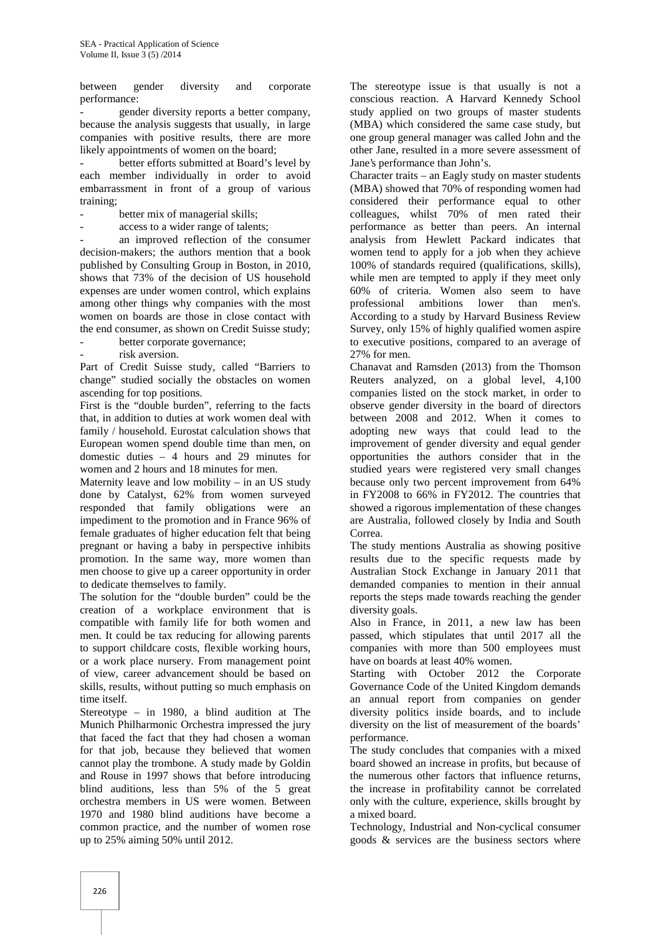between gender diversity and corporate performance:

gender diversity reports a better company, because the analysis suggests that usually, in large companies with positive results, there are more likely appointments of women on the board;

better efforts submitted at Board's level by each member individually in order to avoid embarrassment in front of a group of various training;

better mix of managerial skills;

access to a wider range of talents;

an improved reflection of the consumer decision-makers; the authors mention that a book published by Consulting Group in Boston, in 2010, shows that 73% of the decision of US household expenses are under women control, which explains among other things why companies with the most women on boards are those in close contact with the end consumer, as shown on Credit Suisse study;

better corporate governance;

risk aversion.

Part of Credit Suisse study, called "Barriers to change" studied socially the obstacles on women ascending for top positions.

First is the "double burden", referring to the facts that, in addition to duties at work women deal with family / household. Eurostat calculation shows that European women spend double time than men, on domestic duties – 4 hours and 29 minutes for women and 2 hours and 18 minutes for men.

Maternity leave and low mobility – in an US study done by Catalyst, 62% from women surveyed responded that family obligations were an impediment to the promotion and in France 96% of female graduates of higher education felt that being pregnant or having a baby in perspective inhibits promotion. In the same way, more women than men choose to give up a career opportunity in order to dedicate themselves to family.

The solution for the "double burden" could be the creation of a workplace environment that is compatible with family life for both women and men. It could be tax reducing for allowing parents to support childcare costs, flexible working hours, or a work place nursery. From management point of view, career advancement should be based on skills, results, without putting so much emphasis on time itself.

Stereotype – in 1980, a blind audition at The Munich Philharmonic Orchestra impressed the jury that faced the fact that they had chosen a woman for that job, because they believed that women cannot play the trombone. A study made by Goldin and Rouse in 1997 shows that before introducing blind auditions, less than 5% of the 5 great orchestra members in US were women. Between 1970 and 1980 blind auditions have become a common practice, and the number of women rose up to 25% aiming 50% until 2012.

The stereotype issue is that usually is not a conscious reaction. A Harvard Kennedy School study applied on two groups of master students (MBA) which considered the same case study, but one group general manager was called John and the other Jane, resulted in a more severe assessment of Jane's performance than John's.

Character traits – an Eagly study on master students (MBA) showed that 70% of responding women had considered their performance equal to other colleagues, whilst 70% of men rated their performance as better than peers. An internal analysis from Hewlett Packard indicates that women tend to apply for a job when they achieve 100% of standards required (qualifications, skills), while men are tempted to apply if they meet only 60% of criteria. Women also seem to have professional ambitions lower than men's. According to a study by Harvard Business Review Survey, only 15% of highly qualified women aspire to executive positions, compared to an average of 27% for men.

Chanavat and Ramsden (2013) from the Thomson Reuters analyzed, on a global level, 4,100 companies listed on the stock market, in order to observe gender diversity in the board of directors between 2008 and 2012. When it comes to adopting new ways that could lead to the improvement of gender diversity and equal gender opportunities the authors consider that in the studied years were registered very small changes because only two percent improvement from 64% in FY2008 to 66% in FY2012. The countries that showed a rigorous implementation of these changes are Australia, followed closely by India and South Correa.

The study mentions Australia as showing positive results due to the specific requests made by Australian Stock Exchange in January 2011 that demanded companies to mention in their annual reports the steps made towards reaching the gender diversity goals.

Also in France, in 2011, a new law has been passed, which stipulates that until 2017 all the companies with more than 500 employees must have on boards at least 40% women.

Starting with October 2012 the Corporate Governance Code of the United Kingdom demands an annual report from companies on gender diversity politics inside boards, and to include diversity on the list of measurement of the boards' performance.

The study concludes that companies with a mixed board showed an increase in profits, but because of the numerous other factors that influence returns, the increase in profitability cannot be correlated only with the culture, experience, skills brought by a mixed board.

Technology, Industrial and Non-cyclical consumer goods & services are the business sectors where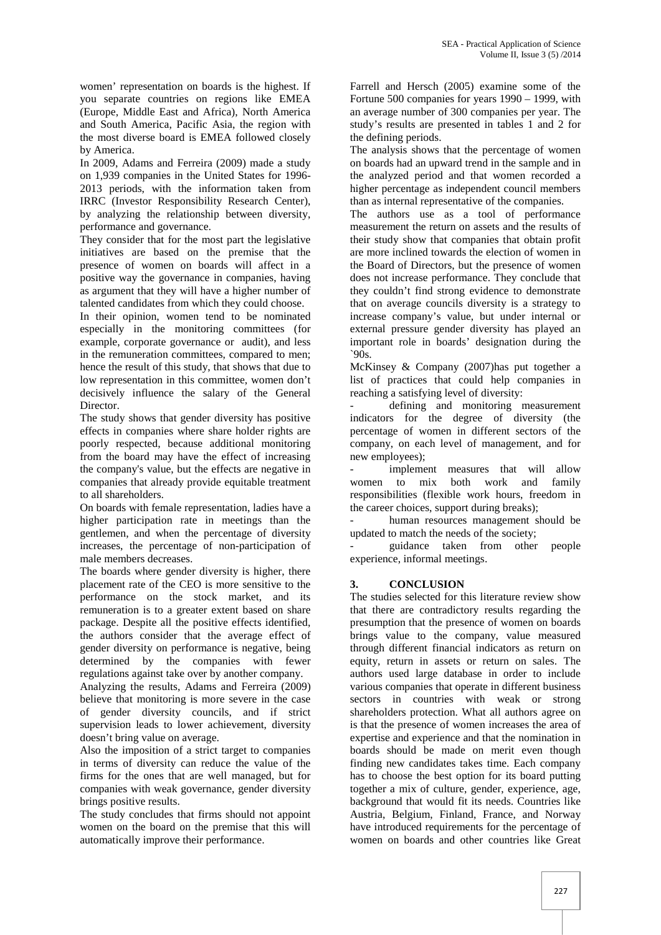women' representation on boards is the highest. If you separate countries on regions like EMEA (Europe, Middle East and Africa), North America and South America, Pacific Asia, the region with the most diverse board is EMEA followed closely by America.

In 2009, Adams and Ferreira (2009) made a study on 1,939 companies in the United States for 1996- 2013 periods, with the information taken from IRRC (Investor Responsibility Research Center), by analyzing the relationship between diversity, performance and governance.

They consider that for the most part the legislative initiatives are based on the premise that the presence of women on boards will affect in a positive way the governance in companies, having as argument that they will have a higher number of talented candidates from which they could choose.

In their opinion, women tend to be nominated especially in the monitoring committees (for example, corporate governance or audit), and less in the remuneration committees, compared to men; hence the result of this study, that shows that due to low representation in this committee, women don't decisively influence the salary of the General Director.

The study shows that gender diversity has positive effects in companies where share holder rights are poorly respected, because additional monitoring from the board may have the effect of increasing the company's value, but the effects are negative in companies that already provide equitable treatment to all shareholders.

On boards with female representation, ladies have a higher participation rate in meetings than the gentlemen, and when the percentage of diversity increases, the percentage of non-participation of male members decreases.

The boards where gender diversity is higher, there placement rate of the CEO is more sensitive to the performance on the stock market, and its remuneration is to a greater extent based on share package. Despite all the positive effects identified, the authors consider that the average effect of gender diversity on performance is negative, being determined by the companies with fewer regulations against take over by another company.

Analyzing the results, Adams and Ferreira (2009) believe that monitoring is more severe in the case of gender diversity councils, and if strict supervision leads to lower achievement, diversity doesn't bring value on average.

Also the imposition of a strict target to companies in terms of diversity can reduce the value of the firms for the ones that are well managed, but for companies with weak governance, gender diversity brings positive results.

The study concludes that firms should not appoint women on the board on the premise that this will automatically improve their performance.

Farrell and Hersch (2005) examine some of the Fortune 500 companies for years 1990 – 1999, with an average number of 300 companies per year. The study's results are presented in tables 1 and 2 for the defining periods.

The analysis shows that the percentage of women on boards had an upward trend in the sample and in the analyzed period and that women recorded a higher percentage as independent council members than as internal representative of the companies.

The authors use as a tool of performance measurement the return on assets and the results of their study show that companies that obtain profit are more inclined towards the election of women in the Board of Directors, but the presence of women does not increase performance. They conclude that they couldn't find strong evidence to demonstrate that on average councils diversity is a strategy to increase company's value, but under internal or external pressure gender diversity has played an important role in boards' designation during the  $200'$ 

McKinsey & Company (2007)has put together a list of practices that could help companies in reaching a satisfying level of diversity:

defining and monitoring measurement indicators for the degree of diversity (the percentage of women in different sectors of the company, on each level of management, and for new employees);

implement measures that will allow women to mix both work and family responsibilities (flexible work hours, freedom in the career choices, support during breaks);

human resources management should be updated to match the needs of the society;

- guidance taken from other people experience, informal meetings.

### **3. CONCLUSION**

The studies selected for this literature review show that there are contradictory results regarding the presumption that the presence of women on boards brings value to the company, value measured through different financial indicators as return on equity, return in assets or return on sales. The authors used large database in order to include various companies that operate in different business sectors in countries with weak or strong shareholders protection. What all authors agree on is that the presence of women increases the area of expertise and experience and that the nomination in boards should be made on merit even though finding new candidates takes time. Each company has to choose the best option for its board putting together a mix of culture, gender, experience, age, background that would fit its needs. Countries like Austria, Belgium, Finland, France, and Norway have introduced requirements for the percentage of women on boards and other countries like Great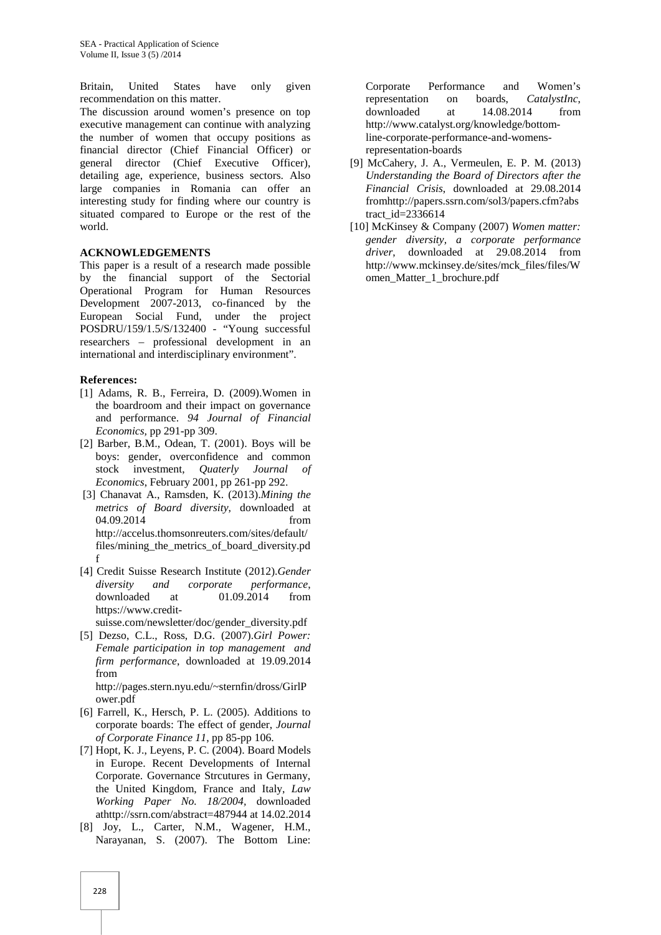Britain, United States have only given recommendation on this matter.

The discussion around women's presence on top executive management can continue with analyzing the number of women that occupy positions as financial director (Chief Financial Officer) or general director (Chief Executive Officer), detailing age, experience, business sectors. Also large companies in Romania can offer an interesting study for finding where our country is situated compared to Europe or the rest of the world.

#### **ACKNOWLEDGEMENTS**

This paper is a result of a research made possible by the financial support of the Sectorial Operational Program for Human Resources Development 2007-2013, co-financed by the European Social Fund, under the project POSDRU/159/1.5/S/132400 - "Young successful researchers – professional development in an international and interdisciplinary environment".

#### **References:**

- [1] Adams, R. B., Ferreira, D. (2009).Women in the boardroom and their impact on governance and performance. *94 Journal of Financial Economics,* pp 291-pp 309.
- [2] Barber, B.M., Odean, T. (2001). Boys will be boys: gender, overconfidence and common stock investment, *Quaterly Journal of Economics*, February 2001, pp 261-pp 292.
- [3] Chanavat A., Ramsden, K. (2013).*Mining the metrics of Board diversity*, downloaded at 04.09.2014 from http://accelus.thomsonreuters.com/sites/default/ files/mining\_the\_metrics\_of\_board\_diversity.pd f
- [4] Credit Suisse Research Institute (2012).*Gender diversity and corporate performance*, downloaded at 01.09.2014 from https://www.credit-
- suisse.com/newsletter/doc/gender\_diversity.pdf [5] Dezso, C.L., Ross, D.G. (2007).*Girl Power: Female participation in top management and firm performance*, downloaded at 19.09.2014 from

http://pages.stern.nyu.edu/~sternfin/dross/GirlP ower.pdf

- [6] Farrell, K., Hersch, P. L. (2005). Additions to corporate boards: The effect of gender, *Journal of Corporate Finance 11*, pp 85-pp 106.
- [7] Hopt, K. J., Leyens, P. C. (2004). Board Models in Europe. Recent Developments of Internal Corporate. Governance Strcutures in Germany, the United Kingdom, France and Italy, *Law Working Paper No. 18/2004,* downloaded athttp://ssrn.com/abstract=487944 at 14.02.2014
- [8] Joy, L., Carter, N.M., Wagener, H.M., Narayanan, S. (2007). The Bottom Line:

Corporate Performance and Women's representation on boards, *CatalystInc*, downloaded at 14.08.2014 from http://www.catalyst.org/knowledge/bottomline-corporate-performance-and-womensrepresentation-boards

- [9] McCahery, J. A., Vermeulen, E. P. M. (2013) *Understanding the Board of Directors after the Financial Crisis*, downloaded at 29.08.2014 fromhttp://papers.ssrn.com/sol3/papers.cfm?abs tract  $id=2336614$
- [10] McKinsey & Company (2007) *Women matter: gender diversity, a corporate performance driver*, downloaded at 29.08.2014 from http://www.mckinsey.de/sites/mck\_files/files/W omen\_Matter\_1\_brochure.pdf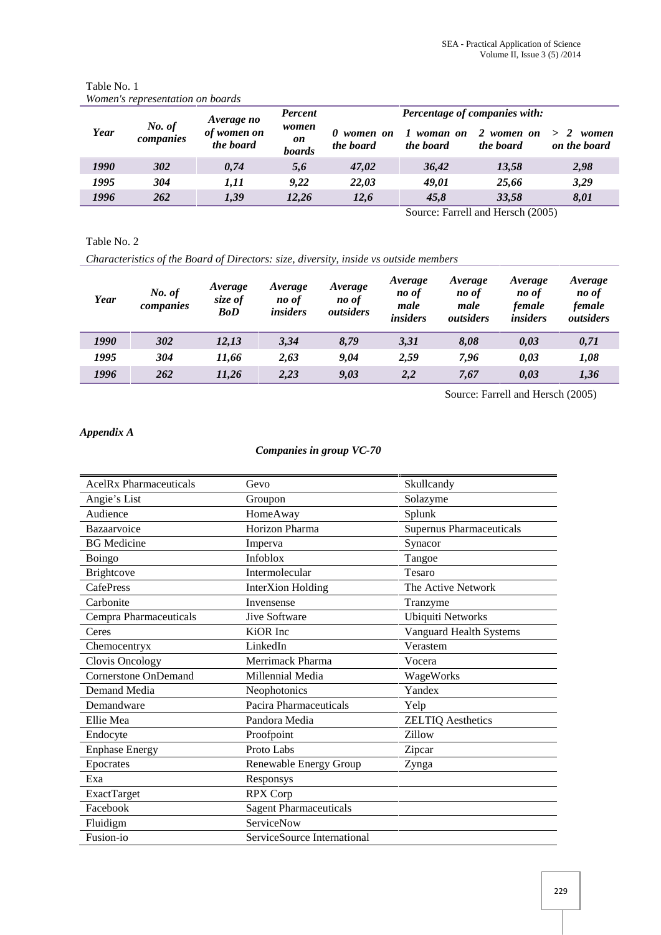|      |                     | Average no               | Percent                      | <b>Percentage of companies with:</b> |                       |                         |                                 |
|------|---------------------|--------------------------|------------------------------|--------------------------------------|-----------------------|-------------------------|---------------------------------|
| Year | No. of<br>companies | of women on<br>the board | women<br>on<br><b>boards</b> | women on<br>the board                | woman on<br>the board | 2 women on<br>the board | $\geq$<br>women<br>on the board |
| 1990 | 302                 | 0,74                     | 5,6                          | 47.02                                | 36,42                 | 13,58                   | 2,98                            |
| 1995 | 304                 | 1.11                     | 9.22                         | 22.03                                | 49,01                 | 25,66                   | 3,29                            |
| 1996 | 262                 | 1,39                     | 12,26                        | 12,6                                 | 45,8                  | 33,58                   | 8,01                            |

#### Table No. 1 *Women's representation on boards*

Source: Farrell and Hersch (2005)

## Table No. 2

*Characteristics of the Board of Directors: size, diversity, inside vs outside members*

| Year | No. of<br>companies | Average<br>size of<br><b>BoD</b> | Average<br>no of<br><i>insiders</i> | Average<br>no of<br>outsiders | Average<br>no of<br>male<br><i>insiders</i> | Average<br>no of<br>male<br>outsiders | Average<br>no of<br>female<br><i>insiders</i> | Average<br>no of<br>female<br>outsiders |
|------|---------------------|----------------------------------|-------------------------------------|-------------------------------|---------------------------------------------|---------------------------------------|-----------------------------------------------|-----------------------------------------|
| 1990 | 302                 | 12,13                            | 3,34                                | 8,79                          | 3,31                                        | 8,08                                  | 0.03                                          | 0,71                                    |
| 1995 | 304                 | 11.66                            | 2,63                                | 9.04                          | 2,59                                        | 7.96                                  | 0,03                                          | 1,08                                    |
| 1996 | 262                 | 11,26                            | 2,23                                | 9,03                          | 2,2                                         | 7,67                                  | 0,03                                          | 1,36                                    |

Source: Farrell and Hersch (2005)

### *Appendix A*

### *Companies in group VC-70*

| <b>AcelRx Pharmaceuticals</b> | Gevo                          | Skullcandy                      |
|-------------------------------|-------------------------------|---------------------------------|
| Angie's List                  | Groupon                       | Solazyme                        |
| Audience                      | HomeAway                      | Splunk                          |
| Bazaarvoice                   | Horizon Pharma                | <b>Supernus Pharmaceuticals</b> |
| <b>BG</b> Medicine            | Imperva                       | Synacor                         |
| Boingo                        | Infoblox                      | Tangoe                          |
| <b>Brightcove</b>             | Intermolecular                | Tesaro                          |
| <b>CafePress</b>              | <b>InterXion Holding</b>      | The Active Network              |
| Carbonite                     | Invensense                    | Tranzyme                        |
| Cempra Pharmaceuticals        | <b>Jive Software</b>          | <b>Ubiquiti Networks</b>        |
| Ceres                         | KiOR Inc                      | Vanguard Health Systems         |
| Chemocentryx                  | LinkedIn                      | Verastem                        |
| Clovis Oncology               | Merrimack Pharma              | Vocera                          |
| Cornerstone OnDemand          | Millennial Media              | WageWorks                       |
| Demand Media                  | Neophotonics                  | Yandex                          |
| Demandware                    | Pacira Pharmaceuticals        | Yelp                            |
| Ellie Mea                     | Pandora Media                 | <b>ZELTIQ Aesthetics</b>        |
| Endocyte                      | Proofpoint                    | Zillow                          |
| <b>Enphase Energy</b>         | Proto Labs                    | Zipcar                          |
| Epocrates                     | Renewable Energy Group        | Zynga                           |
| Exa                           | Responsys                     |                                 |
| <b>ExactTarget</b>            | <b>RPX Corp</b>               |                                 |
| Facebook                      | <b>Sagent Pharmaceuticals</b> |                                 |
| Fluidigm                      | ServiceNow                    |                                 |
| Fusion-io                     | ServiceSource International   |                                 |